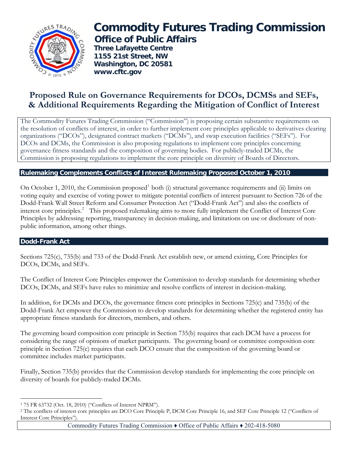

# **Commodity Futures Trading Commission Office of Public Affairs**

 **Three Lafayette Centre 1155 21st Street, NW Washington, DC 20581 www.cftc.gov**

## **Proposed Rule on Governance Requirements for DCOs, DCMSs and SEFs, & Additional Requirements Regarding the Mitigation of Conflict of Interest**

The Commodity Futures Trading Commission ("Commission") is proposing certain substantive requirements on the resolution of conflicts of interest, in order to further implement core principles applicable to derivatives clearing organizations ("DCOs"), designated contract markets ("DCMs"), and swap execution facilities ("SEFs"). For DCOs and DCMs, the Commission is also proposing regulations to implement core principles concerning governance fitness standards and the composition of governing bodies. For publicly-traded DCMs, the Commission is proposing regulations to implement the core principle on diversity of Boards of Directors.

### **Rulemaking Complements Conflicts of Interest Rulemaking Proposed October 1, 2010**

On October [1](#page-0-0), 2010, the Commission proposed<sup>1</sup> both (i) structural governance requirements and (ii) limits on voting equity and exercise of voting power to mitigate potential conflicts of interest pursuant to Section 726 of the Dodd-Frank Wall Street Reform and Consumer Protection Act ("Dodd-Frank Act") and also the conflicts of interest core principles.<sup>[2](#page-0-1)</sup> This proposed rulemaking aims to more fully implement the Conflict of Interest Core Principles by addressing reporting, transparency in decision-making, and limitations on use or disclosure of nonpublic information, among other things.

### **Dodd-Frank Act**

Sections 725(c), 735(b) and 733 of the Dodd-Frank Act establish new, or amend existing, Core Principles for DCOs, DCMs, and SEFs.

The Conflict of Interest Core Principles empower the Commission to develop standards for determining whether DCOs, DCMs, and SEFs have rules to minimize and resolve conflicts of interest in decision-making.

In addition, for DCMs and DCOs, the governance fitness core principles in Sections 725(c) and 735(b) of the Dodd-Frank Act empower the Commission to develop standards for determining whether the registered entity has appropriate fitness standards for directors, members, and others.

The governing board composition core principle in Section 735(b) requires that each DCM have a process for considering the range of opinions of market participants. The governing board or committee composition core principle in Section 725(c) requires that each DCO ensure that the composition of the governing board or committee includes market participants.

Finally, Section 735(b) provides that the Commission develop standards for implementing the core principle on diversity of boards for publicly-traded DCMs.

 $\overline{a}$ 1 75 FR 63732 (Oct. 18, 2010) ("Conflicts of Interest NPRM").

<span id="page-0-1"></span><span id="page-0-0"></span><sup>2</sup> The conflicts of interest core principles are DCO Core Principle P, DCM Core Principle 16, and SEF Core Principle 12 ("Conflicts of Interest Core Principles").